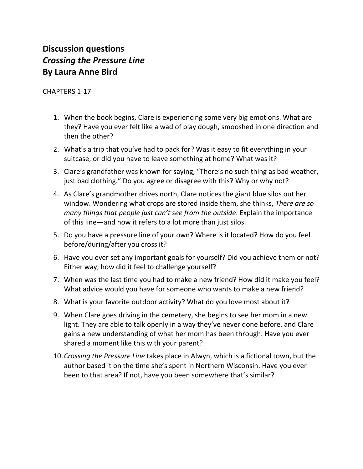## **Discussion questions** *Crossing the Pressure Line* **By Laura Anne Bird**

## CHAPTERS 1-17

- 1. When the book begins, Clare is experiencing some very big emotions. What are they? Have you ever felt like a wad of play dough, smooshed in one direction and then the other?
- 2. What's a trip that you've had to pack for? Was it easy to fit everything in your suitcase, or did you have to leave something at home? What was it?
- 3. Clare's grandfather was known for saying, "There's no such thing as bad weather, just bad clothing." Do you agree or disagree with this? Why or why not?
- 4. As Clare's grandmother drives north, Clare notices the giant blue silos out her window. Wondering what crops are stored inside them, she thinks, *There are so many things that people just can't see from the outside*. Explain the importance of this line—and how it refers to a lot more than just silos.
- 5. Do you have a pressure line of your own? Where is it located? How do you feel before/during/after you cross it?
- 6. Have you ever set any important goals for yourself? Did you achieve them or not? Either way, how did it feel to challenge yourself?
- 7. When was the last time you had to make a new friend? How did it make you feel? What advice would you have for someone who wants to make a new friend?
- 8. What is your favorite outdoor activity? What do you love most about it?
- 9. When Clare goes driving in the cemetery, she begins to see her mom in a new light. They are able to talk openly in a way they've never done before, and Clare gains a new understanding of what her mom has been through. Have you ever shared a moment like this with your parent?
- 10.*Crossing the Pressure Line* takes place in Alwyn, which is a fictional town, but the author based it on the time she's spent in Northern Wisconsin. Have you ever been to that area? If not, have you been somewhere that's similar?